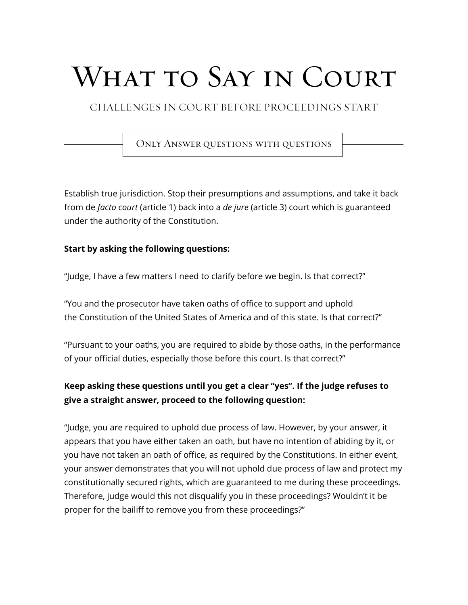# What to Say in Court

CHALLENGES IN COURT BEFORE PROCEEDINGS START

Only Answer questions with questions

Establish true jurisdiction. Stop their presumptions and assumptions, and take it back from de *facto court* (article 1) back into a *de jure* (article 3) court which is guaranteed under the authority of the Constitution.

#### **Start by asking the following questions:**

"Judge, I have a few matters I need to clarify before we begin. Is that correct?"

"You and the prosecutor have taken oaths of office to support and uphold the Constitution of the United States of America and of this state. Is that correct?"

"Pursuant to your oaths, you are required to abide by those oaths, in the performance of your official duties, especially those before this court. Is that correct?"

## **Keep asking these questions until you get a clear "yes". If the judge refuses to give a straight answer, proceed to the following question:**

"Judge, you are required to uphold due process of law. However, by your answer, it appears that you have either taken an oath, but have no intention of abiding by it, or you have not taken an oath of office, as required by the Constitutions. In either event, your answer demonstrates that you will not uphold due process of law and protect my constitutionally secured rights, which are guaranteed to me during these proceedings. Therefore, judge would this not disqualify you in these proceedings? Wouldn't it be proper for the bailiff to remove you from these proceedings?"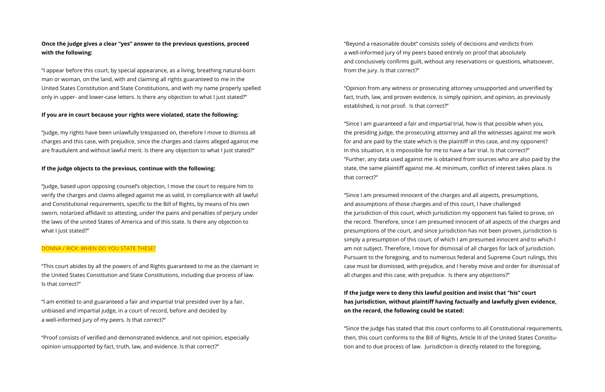### **Once the judge gives a clear "yes" answer to the previous questions, proceed with the following:**

"I appear before this court, by special appearance, as a living, breathing natural-born man or woman, on the land, with and claiming all rights guaranteed to me in the United States Constitution and State Constitutions, and with my name properly spelled only in upper- and lower-case letters. Is there any objection to what I just stated?"

#### **If you are in court because your rights were violated, state the following:**

"Judge, my rights have been unlawfully trespassed on, therefore I move to dismiss all charges and this case, with prejudice, since the charges and claims alleged against me are fraudulent and without lawful merit. Is there any objection to what I just stated?"

#### **If the judge objects to the previous, continue with the following:**

"Judge, based upon opposing counsel's objection, I move the court to require him to verify the charges and claims alleged against me as valid, in compliance with all lawful and Constitutional requirements, specific to the Bill of Rights, by means of his own sworn, notarized affidavit so attesting, under the pains and penalties of perjury under the laws of the united States of America and of this state. Is there any objection to what I just stated?"

#### DONNA / RICK: WHEN DO YOU STATE THESE?

"This court abides by all the powers of and Rights guaranteed to me as the claimant in the United States Constitution and State Constitutions, including due process of law. Is that correct?"

"I am entitled to and guaranteed a fair and impartial trial presided over by a fair, unbiased and impartial judge, in a court of record, before and decided by a well-informed jury of my peers. Is that correct?"

"Proof consists of verified and demonstrated evidence, and not opinion, especially opinion unsupported by fact, truth, law, and evidence. Is that correct?"

"Beyond a reasonable doubt" consists solely of decisions and verdicts from a well-informed jury of my peers based entirely on proof that absolutely and conclusively confirms guilt, without any reservations or questions, whatsoever, from the jury. Is that correct?"

"Opinion from any witness or prosecuting attorney unsupported and unverified by fact, truth, law, and proven evidence, is simply opinion, and opinion, as previously established, is not proof. Is that correct?"

"Since I am guaranteed a fair and impartial trial, how is that possible when you, the presiding judge, the prosecuting attorney and all the witnesses against me work for and are paid by the state which is the plaintiff in this case, and my opponent? In this situation, it is impossible for me to have a fair trial. Is that correct?" "Further, any data used against me is obtained from sources who are also paid by the state, the same plaintiff against me. At minimum, conflict of interest takes place. Is that correct?"

"Since I am presumed innocent of the charges and all aspects, presumptions, and assumptions of those charges and of this court, I have challenged the jurisdiction of this court, which jurisdiction my opponent has failed to prove, on the record. Therefore, since I am presumed innocent of all aspects of the charges and presumptions of the court, and since jurisdiction has not been proven, jurisdiction is simply a presumption of this court, of which I am presumed innocent and to which I am not subject. Therefore, I move for dismissal of all charges for lack of jurisdiction. Pursuant to the foregoing, and to numerous federal and Supreme Court rulings, this case must be dismissed, with prejudice, and I hereby move and order for dismissal of all charges and this case, with prejudice. Is there any objections?"

**If the judge were to deny this lawful position and insist that "his" court on the record, the following could be stated:**

# **has jurisdiction, without plaintiff having factually and lawfully given evidence,**

"Since the judge has stated that this court conforms to all Constitutional requirements, then, this court conforms to the Bill of Rights, Article III of the United States Constitution and to due process of law. Jurisdiction is directly related to the foregoing,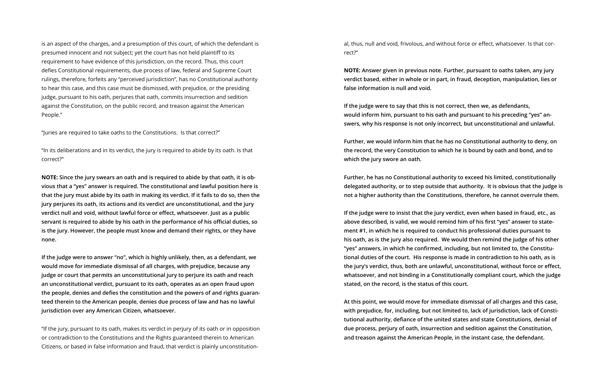is an aspect of the charges, and a presumption of this court, of which the defendant is presumed innocent and not subject; yet the court has not held plaintiff to its requirement to have evidence of this jurisdiction, on the record. Thus, this court defies Constitutional requirements, due process of law, federal and Supreme Court rulings, therefore, forfeits any "perceived jurisdiction", has no Constitutional authority to hear this case, and this case must be dismissed, with prejudice, or the presiding judge, pursuant to his oath, perjures that oath, commits insurrection and sedition against the Constitution, on the public record, and treason against the American People."

"Juries are required to take oaths to the Constitutions. Is that correct?"

"In its deliberations and in its verdict, the jury is required to abide by its oath. Is that correct?"

**NOTE: Since the jury swears an oath and is required to abide by that oath, it is obvious that a "yes" answer is required. The constitutional and lawful position here is that the jury must abide by its oath in making its verdict. If it fails to do so, then the jury perjures its oath, its actions and its verdict are unconstitutional, and the jury verdict null and void, without lawful force or effect, whatsoever. Just as a public servant is required to abide by his oath in the performance of his official duties, so is the jury. However, the people must know and demand their rights, or they have none.** 

**If the judge were to answer "no", which is highly unlikely, then, as a defendant, we would move for immediate dismissal of all charges, with prejudice, because any judge or court that permits an unconstitutional jury to perjure its oath and reach an unconstitutional verdict, pursuant to its oath, operates as an open fraud upon the people, denies and defies the constitution and the powers of and rights guaranteed therein to the American people, denies due process of law and has no lawful jurisdiction over any American Citizen, whatsoever.**

"If the jury, pursuant to its oath, makes its verdict in perjury of its oath or in opposition or contradiction to the Constitutions and the Rights guaranteed therein to American Citizens, or based in false information and fraud, that verdict is plainly unconstitutional, thus, null and void, frivolous, and without force or effect, whatsoever. Is that correct?"

**NOTE: Answer given in previous note. Further, pursuant to oaths taken, any jury verdict based, either in whole or in part, in fraud, deception, manipulation, lies or false information is null and void.**

**If the judge were to say that this is not correct, then we, as defendants, would inform him, pursuant to his oath and pursuant to his preceding "yes" answers, why his response is not only incorrect, but unconstitutional and unlawful.** 

**Further, we would inform him that he has no Constitutional authority to deny, on the record, the very Constitution to which he is bound by oath and bond, and to which the jury swore an oath.** 

**Further, he has no Constitutional authority to exceed his limited, constitutionally delegated authority, or to step outside that authority. It is obvious that the judge is not a higher authority than the Constitutions, therefore, he cannot overrule them.**

**If the judge were to insist that the jury verdict, even when based in fraud, etc., as above described, is valid, we would remind him of his first "yes" answer to statement #1, in which he is required to conduct his professional duties pursuant to his oath, as is the jury also required. We would then remind the judge of his other "yes" answers, in which he confirmed, including, but not limited to, the Constitutional duties of the court. His response is made in contradiction to his oath, as is the jury's verdict, thus, both are unlawful, unconstitutional, without force or effect, whatsoever, and not binding in a Constitutionally compliant court, which the judge stated, on the record, is the status of this court.** 

**At this point, we would move for immediate dismissal of all charges and this case, with prejudice, for, including, but not limited to, lack of jurisdiction, lack of Constitutional authority, defiance of the united states and state Constitutions, denial of due process, perjury of oath, insurrection and sedition against the Constitution, and treason against the American People, in the instant case, the defendant.**